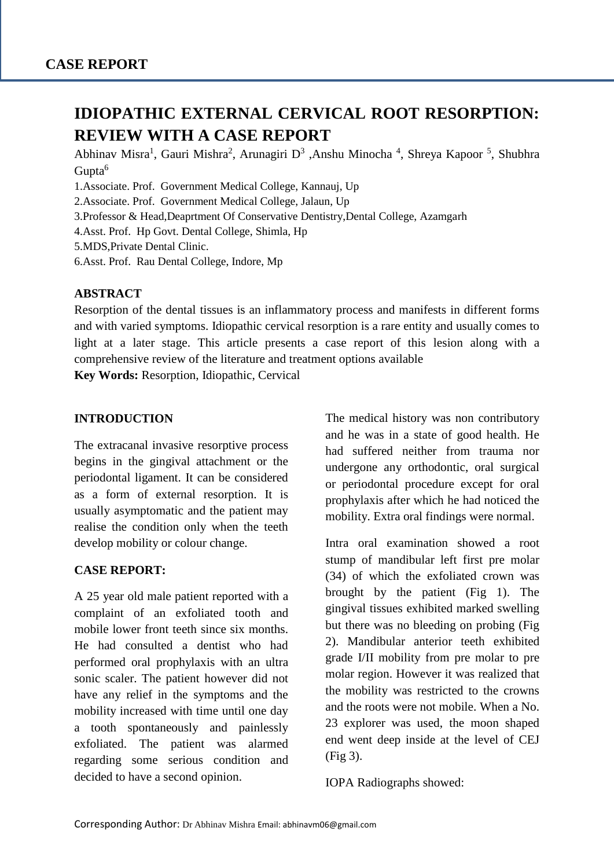# **IDIOPATHIC EXTERNAL CERVICAL ROOT RESORPTION: REVIEW WITH A CASE REPORT**

Abhinav Misra<sup>1</sup>, Gauri Mishra<sup>2</sup>, Arunagiri D<sup>3</sup>, Anshu Minocha<sup>4</sup>, Shreya Kapoor<sup>5</sup>, Shubhra Gupta<sup>6</sup>

1.Associate. Prof. Government Medical College, Kannauj, Up

2.Associate. Prof. Government Medical College, Jalaun, Up

3.Professor & Head,Deaprtment Of Conservative Dentistry,Dental College, Azamgarh

4.Asst. Prof. Hp Govt. Dental College, Shimla, Hp

5.MDS,Private Dental Clinic.

6.Asst. Prof. Rau Dental College, Indore, Mp

#### **ABSTRACT**

Resorption of the dental tissues is an inflammatory process and manifests in different forms and with varied symptoms. Idiopathic cervical resorption is a rare entity and usually comes to light at a later stage. This article presents a case report of this lesion along with a comprehensive review of the literature and treatment options available

**Key Words:** Resorption, Idiopathic, Cervical

#### **INTRODUCTION**

The extracanal invasive resorptive process begins in the gingival attachment or the periodontal ligament. It can be considered as a form of external resorption. It is usually asymptomatic and the patient may realise the condition only when the teeth develop mobility or colour change.

#### **CASE REPORT:**

A 25 year old male patient reported with a complaint of an exfoliated tooth and mobile lower front teeth since six months. He had consulted a dentist who had performed oral prophylaxis with an ultra sonic scaler. The patient however did not have any relief in the symptoms and the mobility increased with time until one day a tooth spontaneously and painlessly exfoliated. The patient was alarmed regarding some serious condition and decided to have a second opinion.

The medical history was non contributory and he was in a state of good health. He had suffered neither from trauma nor undergone any orthodontic, oral surgical or periodontal procedure except for oral prophylaxis after which he had noticed the mobility. Extra oral findings were normal.

Intra oral examination showed a root stump of mandibular left first pre molar (34) of which the exfoliated crown was brought by the patient (Fig 1). The gingival tissues exhibited marked swelling but there was no bleeding on probing (Fig 2). Mandibular anterior teeth exhibited grade I/II mobility from pre molar to pre molar region. However it was realized that the mobility was restricted to the crowns and the roots were not mobile. When a No. 23 explorer was used, the moon shaped end went deep inside at the level of CEJ (Fig 3).

IOPA Radiographs showed: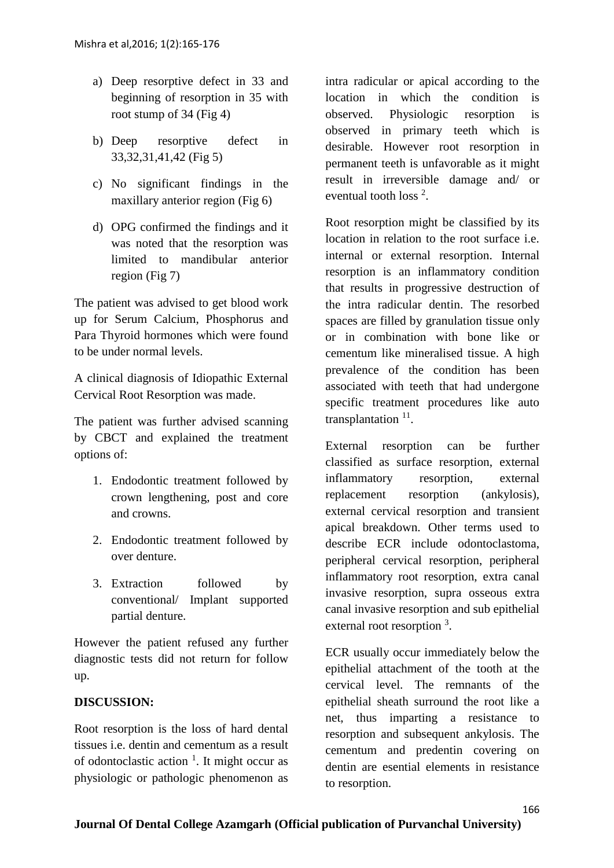- a) Deep resorptive defect in 33 and beginning of resorption in 35 with root stump of 34 (Fig 4)
- b) Deep resorptive defect in 33,32,31,41,42 (Fig 5)
- c) No significant findings in the maxillary anterior region (Fig 6)
- d) OPG confirmed the findings and it was noted that the resorption was limited to mandibular anterior region (Fig 7)

The patient was advised to get blood work up for Serum Calcium, Phosphorus and Para Thyroid hormones which were found to be under normal levels.

A clinical diagnosis of Idiopathic External Cervical Root Resorption was made.

The patient was further advised scanning by CBCT and explained the treatment options of:

- 1. Endodontic treatment followed by crown lengthening, post and core and crowns.
- 2. Endodontic treatment followed by over denture.
- 3. Extraction followed by conventional/ Implant supported partial denture.

However the patient refused any further diagnostic tests did not return for follow up.

# **DISCUSSION:**

Root resorption is the loss of hard dental tissues i.e. dentin and cementum as a result of odontoclastic action  $<sup>1</sup>$ . It might occur as</sup> physiologic or pathologic phenomenon as

intra radicular or apical according to the location in which the condition is observed. Physiologic resorption is observed in primary teeth which is desirable. However root resorption in permanent teeth is unfavorable as it might result in irreversible damage and/ or eventual tooth loss  $2$ .

Root resorption might be classified by its location in relation to the root surface i.e. internal or external resorption. Internal resorption is an inflammatory condition that results in progressive destruction of the intra radicular dentin. The resorbed spaces are filled by granulation tissue only or in combination with bone like or cementum like mineralised tissue. A high prevalence of the condition has been associated with teeth that had undergone specific treatment procedures like auto transplantation  $11$ .

External resorption can be further classified as surface resorption, external inflammatory resorption, external replacement resorption (ankylosis), external cervical resorption and transient apical breakdown. Other terms used to describe ECR include odontoclastoma, peripheral cervical resorption, peripheral inflammatory root resorption, extra canal invasive resorption, supra osseous extra canal invasive resorption and sub epithelial external root resorption<sup>3</sup>.

ECR usually occur immediately below the epithelial attachment of the tooth at the cervical level. The remnants of the epithelial sheath surround the root like a net, thus imparting a resistance to resorption and subsequent ankylosis. The cementum and predentin covering on dentin are esential elements in resistance to resorption.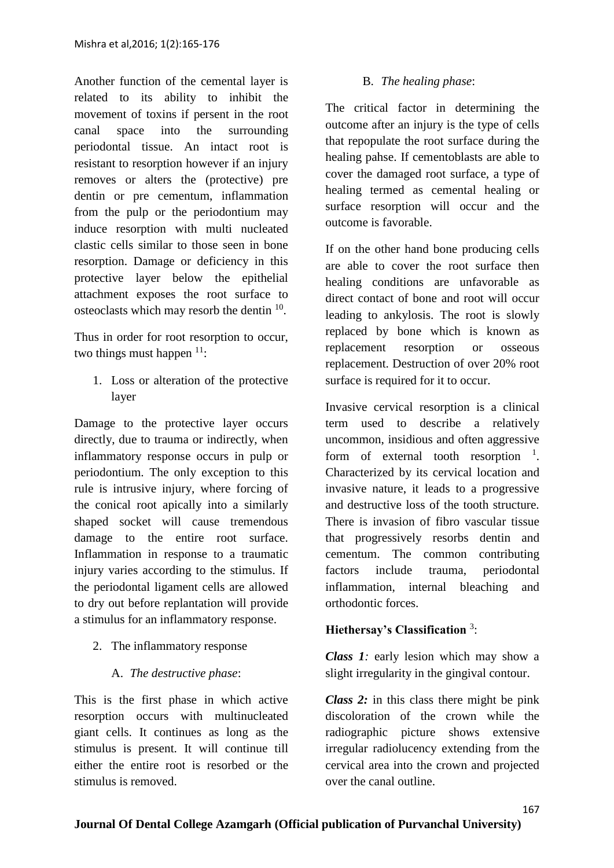Another function of the cemental layer is related to its ability to inhibit the movement of toxins if persent in the root canal space into the surrounding periodontal tissue. An intact root is resistant to resorption however if an injury removes or alters the (protective) pre dentin or pre cementum, inflammation from the pulp or the periodontium may induce resorption with multi nucleated clastic cells similar to those seen in bone resorption. Damage or deficiency in this protective layer below the epithelial attachment exposes the root surface to osteoclasts which may resorb the dentin <sup>10</sup>.

Thus in order for root resorption to occur, two things must happen  $11$ :

1. Loss or alteration of the protective layer

Damage to the protective layer occurs directly, due to trauma or indirectly, when inflammatory response occurs in pulp or periodontium. The only exception to this rule is intrusive injury, where forcing of the conical root apically into a similarly shaped socket will cause tremendous damage to the entire root surface. Inflammation in response to a traumatic injury varies according to the stimulus. If the periodontal ligament cells are allowed to dry out before replantation will provide a stimulus for an inflammatory response.

- 2. The inflammatory response
	- A. *The destructive phase*:

This is the first phase in which active resorption occurs with multinucleated giant cells. It continues as long as the stimulus is present. It will continue till either the entire root is resorbed or the stimulus is removed.

# B. *The healing phase*:

The critical factor in determining the outcome after an injury is the type of cells that repopulate the root surface during the healing pahse. If cementoblasts are able to cover the damaged root surface, a type of healing termed as cemental healing or surface resorption will occur and the outcome is favorable.

If on the other hand bone producing cells are able to cover the root surface then healing conditions are unfavorable as direct contact of bone and root will occur leading to ankylosis. The root is slowly replaced by bone which is known as replacement resorption or osseous replacement. Destruction of over 20% root surface is required for it to occur.

Invasive cervical resorption is a clinical term used to describe a relatively uncommon, insidious and often aggressive form of external tooth resorption  $\frac{1}{1}$ . Characterized by its cervical location and invasive nature, it leads to a progressive and destructive loss of the tooth structure. There is invasion of fibro vascular tissue that progressively resorbs dentin and cementum. The common contributing factors include trauma, periodontal inflammation, internal bleaching and orthodontic forces.

# **Hiethersay's Classification** <sup>3</sup> :

*Class 1:* early lesion which may show a slight irregularity in the gingival contour.

*Class 2:* in this class there might be pink discoloration of the crown while the radiographic picture shows extensive irregular radiolucency extending from the cervical area into the crown and projected over the canal outline.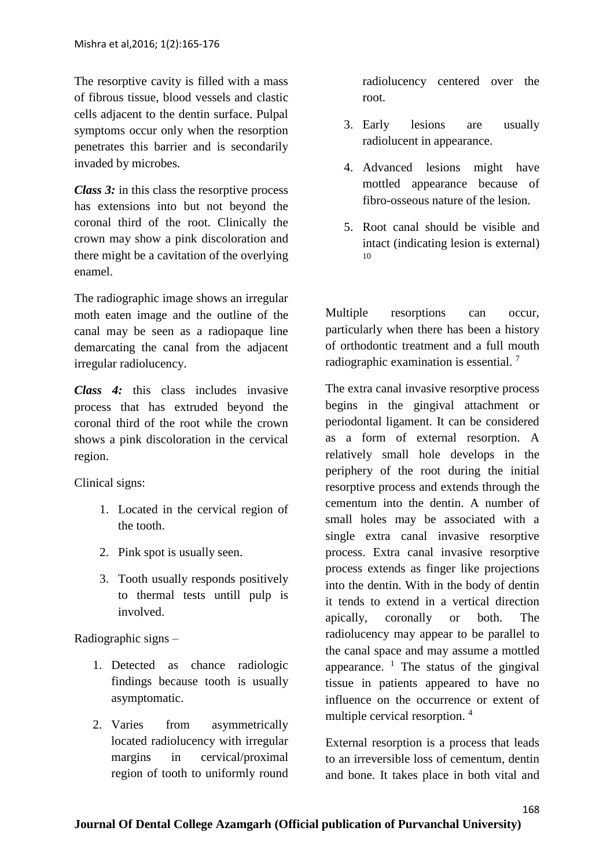The resorptive cavity is filled with a mass of fibrous tissue, blood vessels and clastic cells adjacent to the dentin surface. Pulpal symptoms occur only when the resorption penetrates this barrier and is secondarily invaded by microbes.

*Class 3:* in this class the resorptive process has extensions into but not beyond the coronal third of the root. Clinically the crown may show a pink discoloration and there might be a cavitation of the overlying enamel.

The radiographic image shows an irregular moth eaten image and the outline of the canal may be seen as a radiopaque line demarcating the canal from the adjacent irregular radiolucency.

*Class 4:* this class includes invasive process that has extruded beyond the coronal third of the root while the crown shows a pink discoloration in the cervical region.

Clinical signs:

- 1. Located in the cervical region of the tooth.
- 2. Pink spot is usually seen.
- 3. Tooth usually responds positively to thermal tests untill pulp is involved.

Radiographic signs –

- 1. Detected as chance radiologic findings because tooth is usually asymptomatic.
- 2. Varies from asymmetrically located radiolucency with irregular margins in cervical/proximal region of tooth to uniformly round

radiolucency centered over the root.

- 3. Early lesions are usually radiolucent in appearance.
- 4. Advanced lesions might have mottled appearance because of fibro-osseous nature of the lesion.
- 5. Root canal should be visible and intact (indicating lesion is external) 10

Multiple resorptions can occur, particularly when there has been a history of orthodontic treatment and a full mouth radiographic examination is essential. <sup>7</sup>

The extra canal invasive resorptive process begins in the gingival attachment or periodontal ligament. It can be considered as a form of external resorption. A relatively small hole develops in the periphery of the root during the initial resorptive process and extends through the cementum into the dentin. A number of small holes may be associated with a single extra canal invasive resorptive process. Extra canal invasive resorptive process extends as finger like projections into the dentin. With in the body of dentin it tends to extend in a vertical direction apically, coronally or both. The radiolucency may appear to be parallel to the canal space and may assume a mottled appearance.  $\frac{1}{1}$  The status of the gingival tissue in patients appeared to have no influence on the occurrence or extent of multiple cervical resorption. <sup>4</sup>

External resorption is a process that leads to an irreversible loss of cementum, dentin and bone. It takes place in both vital and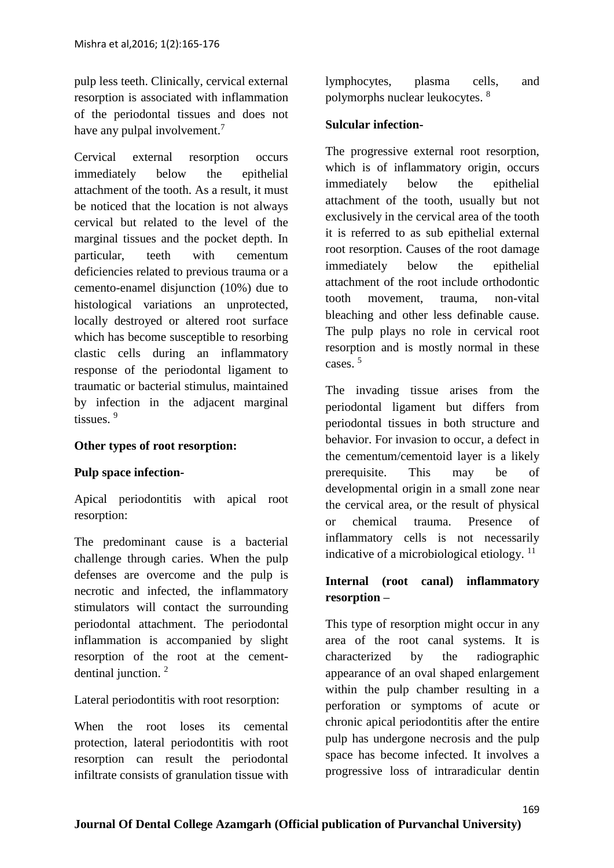pulp less teeth. Clinically, cervical external resorption is associated with inflammation of the periodontal tissues and does not have any pulpal involvement.<sup>7</sup>

Cervical external resorption occurs immediately below the epithelial attachment of the tooth. As a result, it must be noticed that the location is not always cervical but related to the level of the marginal tissues and the pocket depth. In particular, teeth with cementum deficiencies related to previous trauma or a cemento-enamel disjunction (10%) due to histological variations an unprotected, locally destroyed or altered root surface which has become susceptible to resorbing clastic cells during an inflammatory response of the periodontal ligament to traumatic or bacterial stimulus, maintained by infection in the adjacent marginal tissues. <sup>9</sup>

### **Other types of root resorption:**

### **Pulp space infection-**

Apical periodontitis with apical root resorption:

The predominant cause is a bacterial challenge through caries. When the pulp defenses are overcome and the pulp is necrotic and infected, the inflammatory stimulators will contact the surrounding periodontal attachment. The periodontal inflammation is accompanied by slight resorption of the root at the cementdentinal junction. <sup>2</sup>

Lateral periodontitis with root resorption:

When the root loses its cemental protection, lateral periodontitis with root resorption can result the periodontal infiltrate consists of granulation tissue with lymphocytes, plasma cells, and polymorphs nuclear leukocytes. <sup>8</sup>

#### **Sulcular infection-**

The progressive external root resorption, which is of inflammatory origin, occurs immediately below the epithelial attachment of the tooth, usually but not exclusively in the cervical area of the tooth it is referred to as sub epithelial external root resorption. Causes of the root damage immediately below the epithelial attachment of the root include orthodontic tooth movement, trauma, non-vital bleaching and other less definable cause. The pulp plays no role in cervical root resorption and is mostly normal in these cases. <sup>5</sup>

The invading tissue arises from the periodontal ligament but differs from periodontal tissues in both structure and behavior. For invasion to occur, a defect in the cementum/cementoid layer is a likely prerequisite. This may be of developmental origin in a small zone near the cervical area, or the result of physical or chemical trauma. Presence of inflammatory cells is not necessarily indicative of a microbiological etiology.<sup>11</sup>

# **Internal (root canal) inflammatory resorption –**

This type of resorption might occur in any area of the root canal systems. It is characterized by the radiographic appearance of an oval shaped enlargement within the pulp chamber resulting in a perforation or symptoms of acute or chronic apical periodontitis after the entire pulp has undergone necrosis and the pulp space has become infected. It involves a progressive loss of intraradicular dentin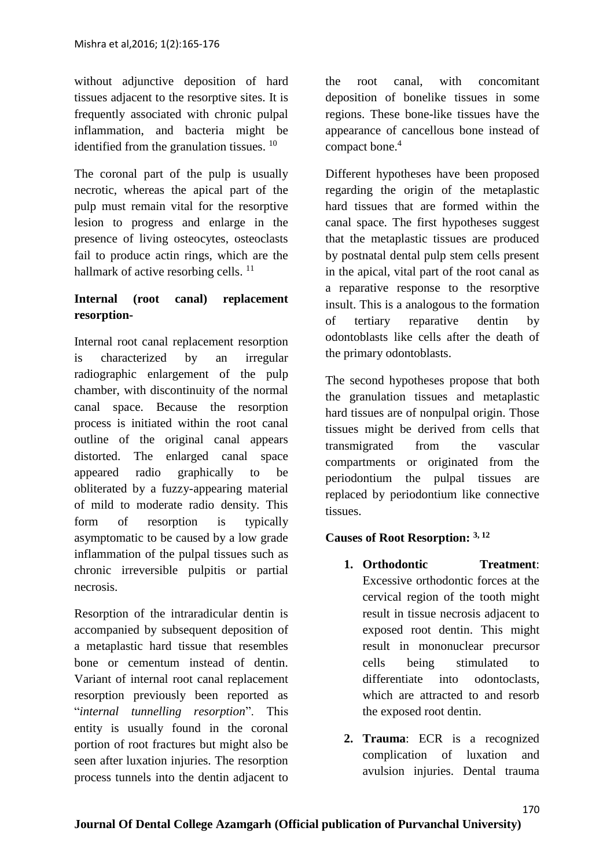without adjunctive deposition of hard tissues adjacent to the resorptive sites. It is frequently associated with chronic pulpal inflammation, and bacteria might be identified from the granulation tissues.<sup>10</sup>

The coronal part of the pulp is usually necrotic, whereas the apical part of the pulp must remain vital for the resorptive lesion to progress and enlarge in the presence of living osteocytes, osteoclasts fail to produce actin rings, which are the hallmark of active resorbing cells.<sup>11</sup>

# **Internal (root canal) replacement resorption-**

Internal root canal replacement resorption is characterized by an irregular radiographic enlargement of the pulp chamber, with discontinuity of the normal canal space. Because the resorption process is initiated within the root canal outline of the original canal appears distorted. The enlarged canal space appeared radio graphically to be obliterated by a fuzzy-appearing material of mild to moderate radio density. This form of resorption is typically asymptomatic to be caused by a low grade inflammation of the pulpal tissues such as chronic irreversible pulpitis or partial necrosis.

Resorption of the intraradicular dentin is accompanied by subsequent deposition of a metaplastic hard tissue that resembles bone or cementum instead of dentin. Variant of internal root canal replacement resorption previously been reported as "*internal tunnelling resorption*". This entity is usually found in the coronal portion of root fractures but might also be seen after luxation injuries. The resorption process tunnels into the dentin adjacent to

the root canal, with concomitant deposition of bonelike tissues in some regions. These bone-like tissues have the appearance of cancellous bone instead of compact bone.<sup>4</sup>

Different hypotheses have been proposed regarding the origin of the metaplastic hard tissues that are formed within the canal space. The first hypotheses suggest that the metaplastic tissues are produced by postnatal dental pulp stem cells present in the apical, vital part of the root canal as a reparative response to the resorptive insult. This is a analogous to the formation of tertiary reparative dentin by odontoblasts like cells after the death of the primary odontoblasts.

The second hypotheses propose that both the granulation tissues and metaplastic hard tissues are of nonpulpal origin. Those tissues might be derived from cells that transmigrated from the vascular compartments or originated from the periodontium the pulpal tissues are replaced by periodontium like connective tissues.

### **Causes of Root Resorption: 3, <sup>12</sup>**

- **1. Orthodontic Treatment**: Excessive orthodontic forces at the cervical region of the tooth might result in tissue necrosis adjacent to exposed root dentin. This might result in mononuclear precursor cells being stimulated to differentiate into odontoclasts, which are attracted to and resorb the exposed root dentin.
- **2. Trauma**: ECR is a recognized complication of luxation and avulsion injuries. Dental trauma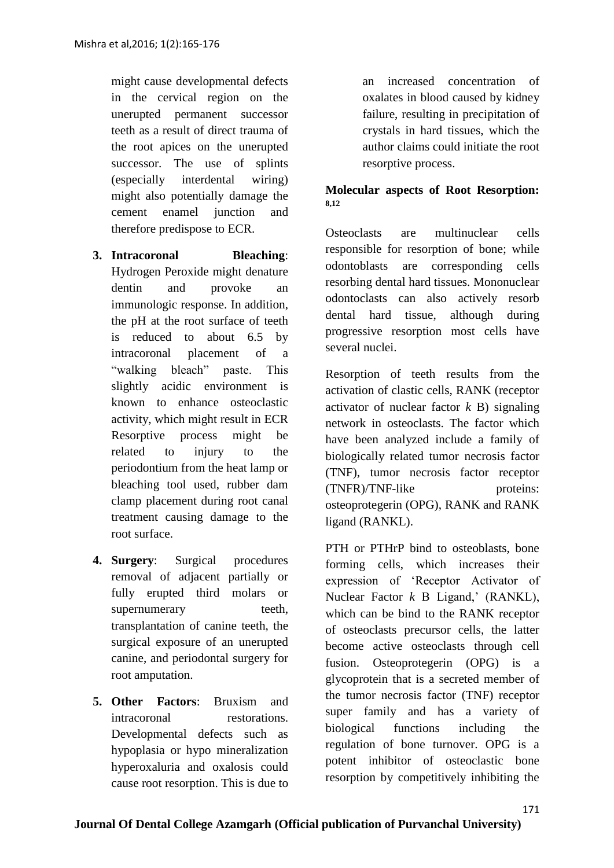might cause developmental defects in the cervical region on the unerupted permanent successor teeth as a result of direct trauma of the root apices on the unerupted successor. The use of splints (especially interdental wiring) might also potentially damage the cement enamel junction and therefore predispose to ECR.

- **3. Intracoronal Bleaching**: Hydrogen Peroxide might denature dentin and provoke an immunologic response. In addition, the pH at the root surface of teeth is reduced to about 6.5 by intracoronal placement of a "walking bleach" paste. This slightly acidic environment is known to enhance osteoclastic activity, which might result in ECR Resorptive process might be related to injury to the periodontium from the heat lamp or bleaching tool used, rubber dam clamp placement during root canal treatment causing damage to the root surface.
- **4. Surgery**: Surgical procedures removal of adjacent partially or fully erupted third molars or supernumerary teeth, transplantation of canine teeth, the surgical exposure of an unerupted canine, and periodontal surgery for root amputation.
- **5. Other Factors**: Bruxism and intracoronal restorations. Developmental defects such as hypoplasia or hypo mineralization hyperoxaluria and oxalosis could cause root resorption. This is due to

an increased concentration of oxalates in blood caused by kidney failure, resulting in precipitation of crystals in hard tissues, which the author claims could initiate the root resorptive process.

#### **Molecular aspects of Root Resorption: 8,12**

Osteoclasts are multinuclear cells responsible for resorption of bone; while odontoblasts are corresponding cells resorbing dental hard tissues. Mononuclear odontoclasts can also actively resorb dental hard tissue, although during progressive resorption most cells have several nuclei.

Resorption of teeth results from the activation of clastic cells, RANK (receptor activator of nuclear factor *k* B) signaling network in osteoclasts. The factor which have been analyzed include a family of biologically related tumor necrosis factor (TNF), tumor necrosis factor receptor (TNFR)/TNF-like proteins: osteoprotegerin (OPG), RANK and RANK ligand (RANKL).

PTH or PTHrP bind to osteoblasts, bone forming cells, which increases their expression of 'Receptor Activator of Nuclear Factor *k* B Ligand,' (RANKL), which can be bind to the RANK receptor of osteoclasts precursor cells, the latter become active osteoclasts through cell fusion. Osteoprotegerin (OPG) is a glycoprotein that is a secreted member of the tumor necrosis factor (TNF) receptor super family and has a variety of biological functions including the regulation of bone turnover. OPG is a potent inhibitor of osteoclastic bone resorption by competitively inhibiting the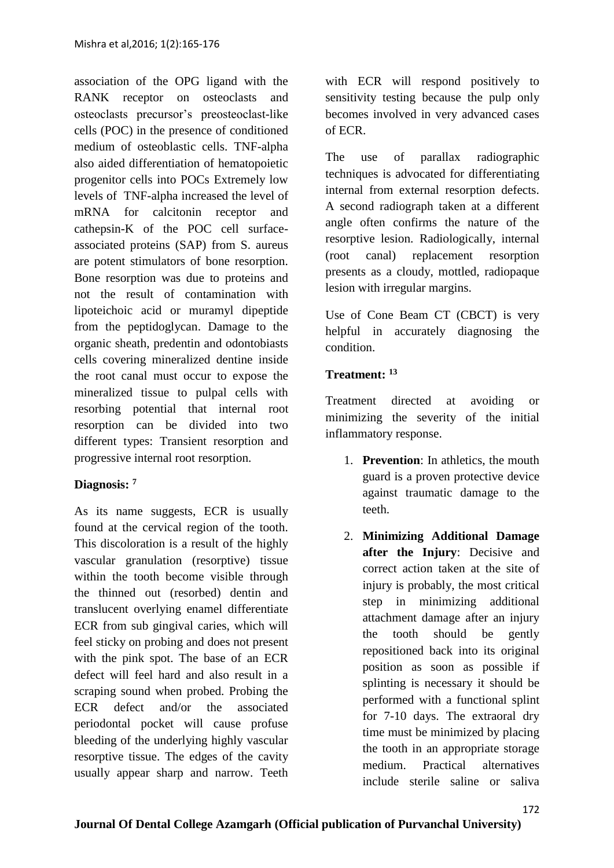association of the OPG ligand with the RANK receptor on osteoclasts and osteoclasts precursor's preosteoclast-like cells (POC) in the presence of conditioned medium of osteoblastic cells. TNF-alpha also aided differentiation of hematopoietic progenitor cells into POCs Extremely low levels of TNF-alpha increased the level of mRNA for calcitonin receptor and cathepsin-K of the POC cell surfaceassociated proteins (SAP) from S. aureus are potent stimulators of bone resorption. Bone resorption was due to proteins and not the result of contamination with lipoteichoic acid or muramyl dipeptide from the peptidoglycan. Damage to the organic sheath, predentin and odontobiasts cells covering mineralized dentine inside the root canal must occur to expose the mineralized tissue to pulpal cells with resorbing potential that internal root resorption can be divided into two different types: Transient resorption and progressive internal root resorption.

### **Diagnosis: <sup>7</sup>**

As its name suggests, ECR is usually found at the cervical region of the tooth. This discoloration is a result of the highly vascular granulation (resorptive) tissue within the tooth become visible through the thinned out (resorbed) dentin and translucent overlying enamel differentiate ECR from sub gingival caries, which will feel sticky on probing and does not present with the pink spot. The base of an ECR defect will feel hard and also result in a scraping sound when probed. Probing the ECR defect and/or the associated periodontal pocket will cause profuse bleeding of the underlying highly vascular resorptive tissue. The edges of the cavity usually appear sharp and narrow. Teeth

with ECR will respond positively to sensitivity testing because the pulp only becomes involved in very advanced cases of ECR.

The use of parallax radiographic techniques is advocated for differentiating internal from external resorption defects. A second radiograph taken at a different angle often confirms the nature of the resorptive lesion. Radiologically, internal (root canal) replacement resorption presents as a cloudy, mottled, radiopaque lesion with irregular margins.

Use of Cone Beam CT (CBCT) is very helpful in accurately diagnosing the condition.

# **Treatment: <sup>13</sup>**

Treatment directed at avoiding or minimizing the severity of the initial inflammatory response.

- 1. **Prevention**: In athletics, the mouth guard is a proven protective device against traumatic damage to the teeth.
- 2. **Minimizing Additional Damage after the Injury**: Decisive and correct action taken at the site of injury is probably, the most critical step in minimizing additional attachment damage after an injury the tooth should be gently repositioned back into its original position as soon as possible if splinting is necessary it should be performed with a functional splint for 7-10 days. The extraoral dry time must be minimized by placing the tooth in an appropriate storage medium. Practical alternatives include sterile saline or saliva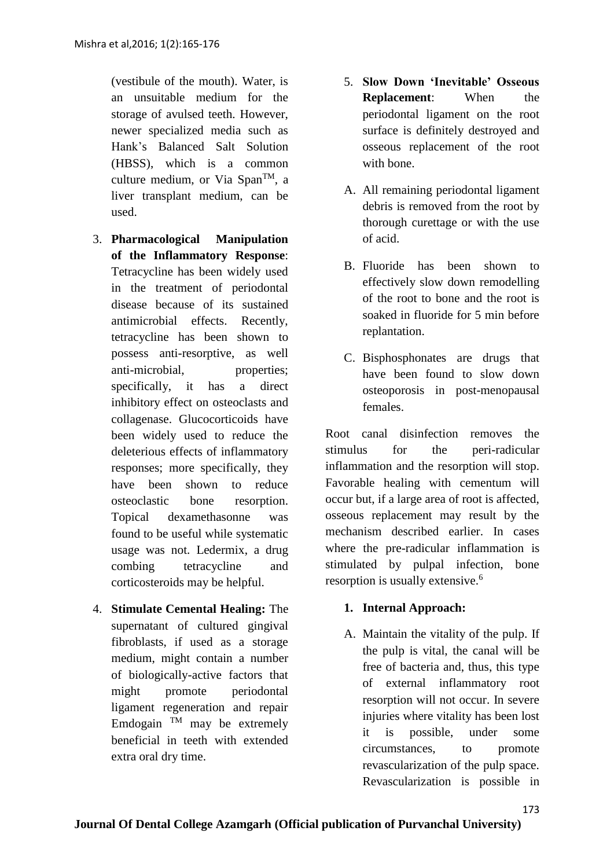(vestibule of the mouth). Water, is an unsuitable medium for the storage of avulsed teeth. However, newer specialized media such as Hank's Balanced Salt Solution (HBSS), which is a common culture medium, or Via  $Span^{\text{TM}}$ , a liver transplant medium, can be used.

- 3. **Pharmacological Manipulation of the Inflammatory Response**: Tetracycline has been widely used in the treatment of periodontal disease because of its sustained antimicrobial effects. Recently, tetracycline has been shown to possess anti-resorptive, as well anti-microbial, properties; specifically, it has a direct inhibitory effect on osteoclasts and collagenase. Glucocorticoids have been widely used to reduce the deleterious effects of inflammatory responses; more specifically, they have been shown to reduce osteoclastic bone resorption. Topical dexamethasonne was found to be useful while systematic usage was not. Ledermix, a drug combing tetracycline and corticosteroids may be helpful.
- 4. **Stimulate Cemental Healing:** The supernatant of cultured gingival fibroblasts, if used as a storage medium, might contain a number of biologically-active factors that might promote periodontal ligament regeneration and repair Emdogain  $TM$  may be extremely beneficial in teeth with extended extra oral dry time.
- 5. **Slow Down 'Inevitable' Osseous Replacement:** When the periodontal ligament on the root surface is definitely destroyed and osseous replacement of the root with bone.
- A. All remaining periodontal ligament debris is removed from the root by thorough curettage or with the use of acid.
- B. Fluoride has been shown to effectively slow down remodelling of the root to bone and the root is soaked in fluoride for 5 min before replantation.
- C. Bisphosphonates are drugs that have been found to slow down osteoporosis in post-menopausal females.

Root canal disinfection removes the stimulus for the peri-radicular inflammation and the resorption will stop. Favorable healing with cementum will occur but, if a large area of root is affected, osseous replacement may result by the mechanism described earlier. In cases where the pre-radicular inflammation is stimulated by pulpal infection, bone resorption is usually extensive.<sup>6</sup>

### **1. Internal Approach:**

A. Maintain the vitality of the pulp. If the pulp is vital, the canal will be free of bacteria and, thus, this type of external inflammatory root resorption will not occur. In severe injuries where vitality has been lost it is possible, under some circumstances, to promote revascularization of the pulp space. Revascularization is possible in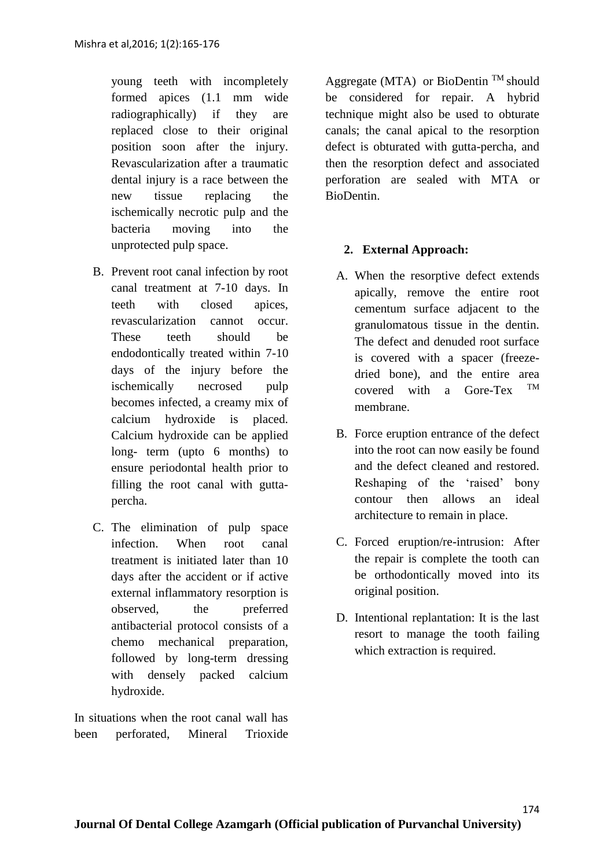young teeth with incompletely formed apices (1.1 mm wide radiographically) if they are replaced close to their original position soon after the injury. Revascularization after a traumatic dental injury is a race between the new tissue replacing the ischemically necrotic pulp and the bacteria moving into the unprotected pulp space.

- B. Prevent root canal infection by root canal treatment at 7-10 days. In teeth with closed apices, revascularization cannot occur. These teeth should be endodontically treated within 7-10 days of the injury before the ischemically necrosed pulp becomes infected, a creamy mix of calcium hydroxide is placed. Calcium hydroxide can be applied long- term (upto 6 months) to ensure periodontal health prior to filling the root canal with guttapercha.
- C. The elimination of pulp space infection. When root canal treatment is initiated later than 10 days after the accident or if active external inflammatory resorption is observed, the preferred antibacterial protocol consists of a chemo mechanical preparation, followed by long-term dressing with densely packed calcium hydroxide.

In situations when the root canal wall has been perforated, Mineral Trioxide Aggregate (MTA) or BioDentin  $<sup>TM</sup>$  should</sup> be considered for repair. A hybrid technique might also be used to obturate canals; the canal apical to the resorption defect is obturated with gutta-percha, and then the resorption defect and associated perforation are sealed with MTA or BioDentin.

#### **2. External Approach:**

- A. When the resorptive defect extends apically, remove the entire root cementum surface adjacent to the granulomatous tissue in the dentin. The defect and denuded root surface is covered with a spacer (freezedried bone), and the entire area covered with a Gore-Tex TM membrane.
- B. Force eruption entrance of the defect into the root can now easily be found and the defect cleaned and restored. Reshaping of the 'raised' bony contour then allows an ideal architecture to remain in place.
- C. Forced eruption/re-intrusion: After the repair is complete the tooth can be orthodontically moved into its original position.
- D. Intentional replantation: It is the last resort to manage the tooth failing which extraction is required.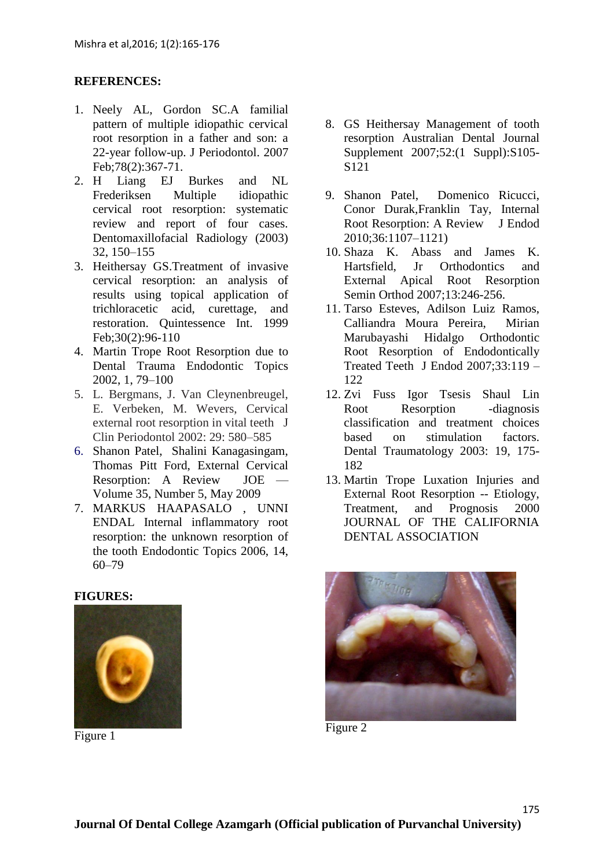#### **REFERENCES:**

- 1. [Neely AL,](http://www.ncbi.nlm.nih.gov/sites/entrez?Db=pubmed&Cmd=Search&Term=%22Neely%20AL%22%5BAuthor%5D&itool=EntrezSystem2.PEntrez.Pubmed.Pubmed_ResultsPanel.Pubmed_RVAbstractPlus) [Gordon SC.](http://www.ncbi.nlm.nih.gov/sites/entrez?Db=pubmed&Cmd=Search&Term=%22Gordon%20SC%22%5BAuthor%5D&itool=EntrezSystem2.PEntrez.Pubmed.Pubmed_ResultsPanel.Pubmed_RVAbstractPlus)A familial pattern of multiple idiopathic cervical root resorption in a father and son: a 22-year follow-up. [J Periodontol.](javascript:AL_get(this,%20) 2007 Feb;78(2):367-71.
- 2. H Liang EJ Burkes and NL Frederiksen Multiple idiopathic cervical root resorption: systematic review and report of four cases. Dentomaxillofacial Radiology (2003) 32, 150–155
- 3. [Heithersay GS.](http://www.ncbi.nlm.nih.gov/sites/entrez?Db=pubmed&Cmd=Search&Term=%22Heithersay%20GS%22%5BAuthor%5D&itool=EntrezSystem2.PEntrez.Pubmed.Pubmed_ResultsPanel.Pubmed_RVAbstractPlus)Treatment of invasive cervical resorption: an analysis of results using topical application of trichloracetic acid, curettage, and restoration. [Quintessence Int.](javascript:AL_get(this,%20) 1999 Feb;30(2):96-110
- 4. Martin Trope Root Resorption due to Dental Trauma Endodontic Topics 2002, 1, 79–100
- 5. L. Bergmans, J. Van Cleynenbreugel, E. Verbeken, M. Wevers, Cervical external root resorption in vital teeth J Clin Periodontol 2002: 29: 580–585
- 6. Shanon Patel, Shalini Kanagasingam, Thomas Pitt Ford, External Cervical Resorption: A Review JOE — Volume 35, Number 5, May 2009
- 7. MARKUS HAAPASALO , UNNI ENDAL Internal inflammatory root resorption: the unknown resorption of the tooth Endodontic Topics 2006, 14, 60–79

#### **FIGURES:**



Figure 1

- 8. GS Heithersay Management of tooth resorption Australian Dental Journal Supplement 2007;52:(1 Suppl):S105- S121
- 9. Shanon Patel, Domenico Ricucci, Conor Durak,Franklin Tay, Internal Root Resorption: A Review J Endod 2010;36:1107–1121)
- 10. Shaza K. Abass and James K. Hartsfield, Jr Orthodontics and External Apical Root Resorption Semin Orthod 2007;13:246-256.
- 11. Tarso Esteves, Adilson Luiz Ramos, Calliandra Moura Pereira, Mirian Marubayashi Hidalgo Orthodontic Root Resorption of Endodontically Treated Teeth J Endod 2007;33:119 – 122
- 12. Zvi Fuss Igor Tsesis Shaul Lin Root Resorption -diagnosis classification and treatment choices based on stimulation factors. Dental Traumatology 2003: 19, 175- 182
- 13. Martin Trope Luxation Injuries and External Root Resorption -- Etiology, Treatment, and Prognosis 2000 JOURNAL OF THE CALIFORNIA DENTAL ASSOCIATION



Figure 2